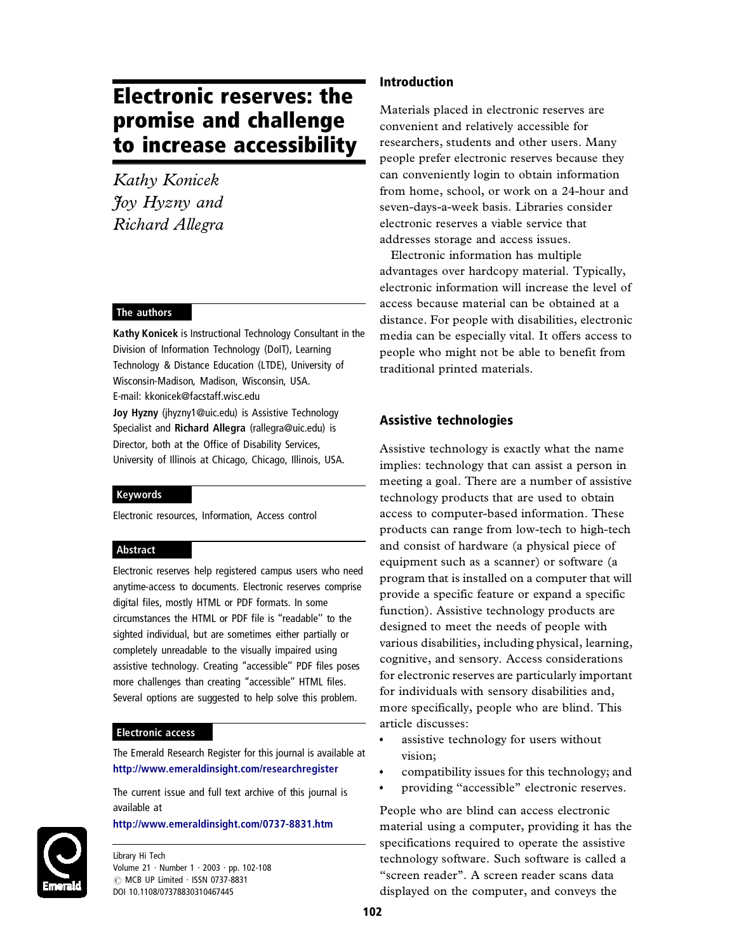# Electronic reserves: the promise and challenge to increase accessibility

*Kathy Konicek Joy Hyzny and Richard Allegra*

#### The authors

Kathy Konicek is Instructional Technology Consultant in the Division of Information Technology (DoIT), Learning Technology & Distance Education (LTDE), University of Wisconsin-Madison, Madison, Wisconsin, USA. E-mail: kkonicek@facstaff.wisc.edu Joy Hyzny (jhyzny1@uic.edu) is Assistive Technology Specialist and Richard Allegra (rallegra@uic.edu) is Director, both at the Office of Disability Services, University of Illinois at Chicago, Chicago, Illinois, USA.

#### Keywords

Electronic resources, Information, Access control

#### Abstract

Electronic reserves help registered campus users who need anytime-access to documents. Electronic reserves comprise digital files, mostly HTML or PDF formats. In some circumstances the HTML or PDF file is "readable" to the sighted individual, but are sometimes either partially or completely unreadable to the visually impaired using assistive technology. Creating "accessible" PDF files poses more challenges than creating "accessible" HTML files. Several options are suggested to help solve this problem.

#### Electronic access

The Emerald Research Register for this journal is available at <http://www.emeraldinsight.com/researchregister>

The current issue and full text archive of this journal is available at

#### <http://www.emeraldinsight.com/0737-8831.htm>



Library Hi Tech Volume 21 . Number 1 . 2003 . pp. 102-108  $\oslash$  MCB UP Limited  $\cdot$  ISSN 0737-8831 DOI 10.1108/07378830310467445

## Introduction

Materials placed in electronic reserves are convenient and relatively accessible for researchers, students and other users. Many people prefer electronic reserves because they can conveniently login to obtain information from home, school, or work on a 24-hour and seven-days-a-week basis. Libraries consider electronic reserves a viable service that addresses storage and access issues.

Electronic information has multiple advantages over hardcopy material. Typically, electronic information will increase the level of access because material can be obtained at a distance. For people with disabilities, electronic media can be especially vital. It offers access to people who might not be able to benefit from traditional printed materials.

#### Assistive technologies

Assistive technology is exactly what the name implies: technology that can assist a person in meeting a goal. There are a number of assistive technology products that are used to obtain access to computer-based information. These products can range from low-tech to high-tech and consist of hardware (a physical piece of equipment such as a scanner) or software (a program that is installed on a computer that will provide a specific feature or expand a specific function). Assistive technology products are designed to meet the needs of people with various disabilities, including physical, learning, cognitive, and sensory. Access considerations for electronic reserves are particularly important for individuals with sensory disabilities and, more specifically, people who are blind. This article discusses:

- assistive technology for users without vision;
- compatibility issues for this technology; and
- providing ''accessible'' electronic reserves.

People who are blind can access electronic material using a computer, providing it has the specifications required to operate the assistive technology software. Such software is called a "screen reader". A screen reader scans data displayed on the computer, and conveys the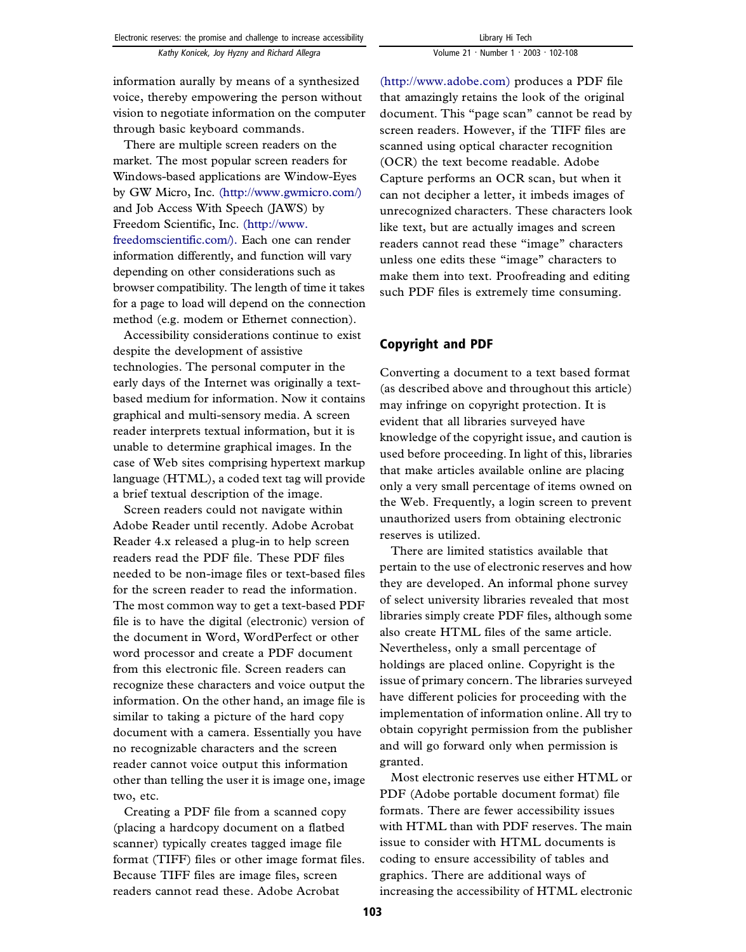information aurally by means of a synthesized voice, thereby empowering the person without vision to negotiate information on the computer through basic keyboard commands.

There are multiple screen readers on the market. The most popular screen readers for Windows-based applications are Window-Eyes by GW Micro, Inc. [\(http://www.gwmicro.com/\)](http://www.gwmicro.com/) and Job Access With Speech (JAWS) by Freedom Scientific, Inc. [\(http://www.](http://www.freedomscientific.com/) [freedomscientific.com/\).](http://www.freedomscientific.com/) Each one can render information differently, and function will vary depending on other considerations such as browser compatibility. The length of time it takes for a page to load will depend on the connection method (e.g. modem or Ethernet connection).

Accessibility considerations continue to exist despite the development of assistive technologies. The personal computer in the early days of the Internet was originally a textbased medium for information. Now it contains graphical and multi-sensory media. A screen reader interprets textual information, but it is unable to determine graphical images. In the case of Web sites comprising hypertext markup language (HTML), a coded text tag will provide a brief textual description of the image.

Screen readers could not navigate within Adobe Reader until recently. Adobe Acrobat Reader 4.x released a plug-in to help screen readers read the PDF file. These PDF files needed to be non-image files or text-based files for the screen reader to read the information. The most common way to get a text-based PDF file is to have the digital (electronic) version of the document in Word, WordPerfect or other word processor and create a PDF document from this electronic file. Screen readers can recognize these characters and voice output the information. On the other hand, an image file is similar to taking a picture of the hard copy document with a camera. Essentially you have no recognizable characters and the screen reader cannot voice output this information other than telling the user it is image one, image two, etc.

Creating a PDF file from a scanned copy (placing a hardcopy document on a flatbed scanner) typically creates tagged image file format (TIFF) files or other image format files. Because TIFF files are image files, screen readers cannot read these. Adobe Acrobat

[\(http://www.adobe.com\)](http://www.adobe.com) produces a PDF file that amazingly retains the look of the original document. This ''page scan'' cannot be read by screen readers. However, if the TIFF files are scanned using optical character recognition (OCR) the text become readable. Adobe Capture performs an OCR scan, but when it can not decipher a letter, it imbeds images of unrecognized characters. These characters look like text, but are actually images and screen readers cannot read these ''image'' characters unless one edits these ''image'' characters to make them into text. Proofreading and editing such PDF files is extremely time consuming.

# Copyright and PDF

Converting a document to a text based format (as described above and throughout this article) may infringe on copyright protection. It is evident that all libraries surveyed have knowledge of the copyright issue, and caution is used before proceeding. In light of this, libraries that make articles available online are placing only a very small percentage of items owned on the Web. Frequently, a login screen to prevent unauthorized users from obtaining electronic reserves is utilized.

There are limited statistics available that pertain to the use of electronic reserves and how they are developed. An informal phone survey of select university libraries revealed that most libraries simply create PDF files, although some also create HTML files of the same article. Nevertheless, only a small percentage of holdings are placed online. Copyright is the issue of primary concern. The libraries surveyed have different policies for proceeding with the implementation of information online. All try to obtain copyright permission from the publisher and will go forward only when permission is granted.

Most electronic reserves use either HTML or PDF (Adobe portable document format) file formats. There are fewer accessibility issues with HTML than with PDF reserves. The main issue to consider with HTML documents is coding to ensure accessibility of tables and graphics. There are additional ways of increasing the accessibility of HTML electronic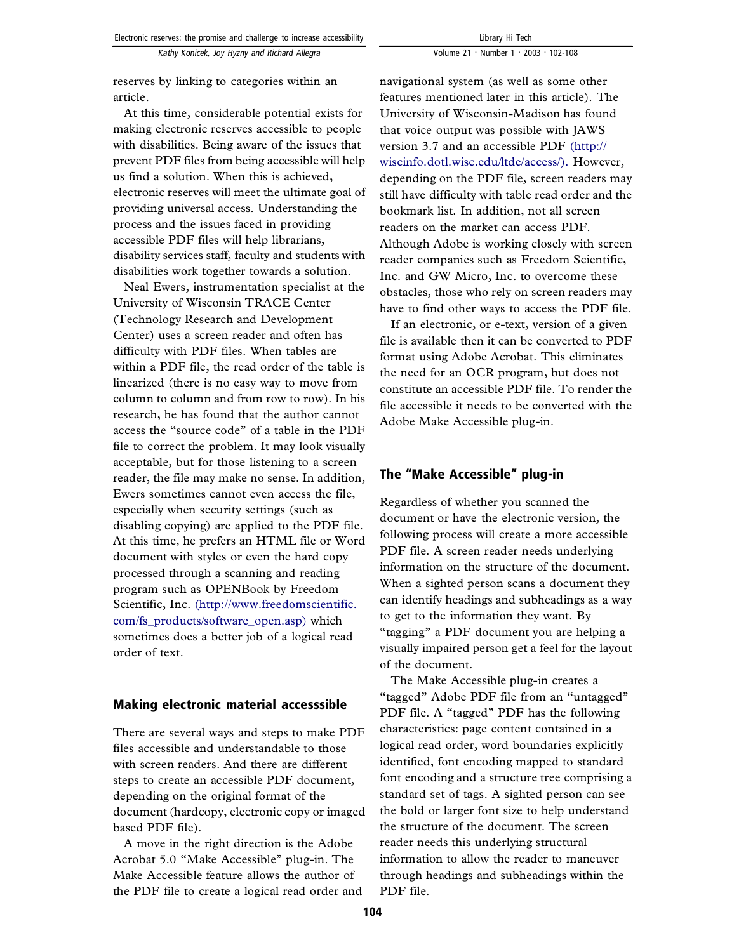*Kathy Konicek, Joy Hyzny and Richard Allegra*

reserves by linking to categories within an article.

At this time, considerable potential exists for making electronic reserves accessible to people with disabilities. Being aware of the issues that prevent PDF files from being accessible will help us find a solution. When this is achieved, electronic reserves will meet the ultimate goal of providing universal access. Understanding the process and the issues faced in providing accessible PDF files will help librarians, disability services staff, faculty and students with disabilities work together towards a solution.

Neal Ewers, instrumentation specialist at the University of Wisconsin TRACE Center (Technology Research and Development Center) uses a screen reader and often has difficulty with PDF files. When tables are within a PDF file, the read order of the table is linearized (there is no easy way to move from column to column and from row to row). In his research, he has found that the author cannot access the ''source code'' of a table in the PDF file to correct the problem. It may look visually acceptable, but for those listening to a screen reader, the file may make no sense. In addition, Ewers sometimes cannot even access the file, especially when security settings (such as disabling copying) are applied to the PDF file. At this time, he prefers an HTML file or Word document with styles or even the hard copy processed through a scanning and reading program such as OPENBook by Freedom Scientific, Inc. [\(http://www.freedomscientific.](http://www.freedomscientific.com/fs_products/software_open.asp) [com/fs\\_products/software\\_open.asp\)](http://www.freedomscientific.com/fs_products/software_open.asp) which sometimes does a better job of a logical read order of text.

# Making electronic material accesssible

There are several ways and steps to make PDF files accessible and understandable to those with screen readers. And there are different steps to create an accessible PDF document, depending on the original format of the document (hardcopy, electronic copy or imaged based PDF file).

A move in the right direction is the Adobe Acrobat 5.0 ''Make Accessible'' plug-in. The Make Accessible feature allows the author of the PDF file to create a logical read order and navigational system (as well as some other features mentioned later in this article). The University of Wisconsin-Madison has found that voice output was possible with JAWS version 3.7 and an accessible PDF [\(http://](http://wiscinfo.dotl.wisc.edu/ltde/access/) [wiscinfo.dotl.wisc.edu/ltde/access/\).](http://wiscinfo.dotl.wisc.edu/ltde/access/) However, depending on the PDF file, screen readers may still have difficulty with table read order and the bookmark list. In addition, not all screen readers on the market can access PDF. Although Adobe is working closely with screen reader companies such as Freedom Scientific, Inc. and GW Micro, Inc. to overcome these obstacles, those who rely on screen readers may

If an electronic, or e-text, version of a given file is available then it can be converted to PDF format using Adobe Acrobat. This eliminates the need for an OCR program, but does not constitute an accessible PDF file. To render the file accessible it needs to be converted with the Adobe Make Accessible plug-in.

have to find other ways to access the PDF file.

## The ''Make Accessible'' plug-in

Regardless of whether you scanned the document or have the electronic version, the following process will create a more accessible PDF file. A screen reader needs underlying information on the structure of the document. When a sighted person scans a document they can identify headings and subheadings as a way to get to the information they want. By ''tagging'' a PDF document you are helping a visually impaired person get a feel for the layout of the document.

The Make Accessible plug-in creates a ''tagged'' Adobe PDF file from an ''untagged'' PDF file. A "tagged" PDF has the following characteristics: page content contained in a logical read order, word boundaries explicitly identified, font encoding mapped to standard font encoding and a structure tree comprising a standard set of tags. A sighted person can see the bold or larger font size to help understand the structure of the document. The screen reader needs this underlying structural information to allow the reader to maneuver through headings and subheadings within the PDF file.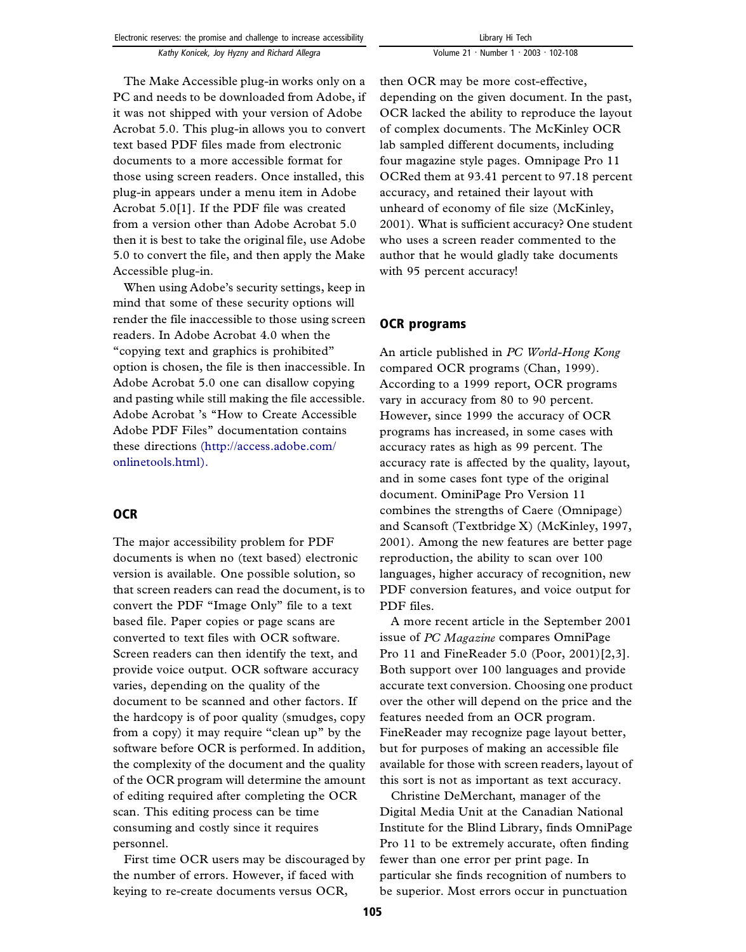| Electronic reserves: the promise and challenge to increase accessibility |
|--------------------------------------------------------------------------|
| Kathy Konicek, Joy Hyzny and Richard Allegra                             |

Library Hi Tech Volume 21 · Number 1 · 2003 · 102-108

The Make Accessible plug-in works only on a PC and needs to be downloaded from Adobe, if it was not shipped with your version of Adobe Acrobat 5.0. This plug-in allows you to convert text based PDF files made from electronic documents to a more accessible format for those using screen readers. Once installed, this plug-in appears under a menu item in Adobe Acrobat 5.0[1]. If the PDF file was created from a version other than Adobe Acrobat 5.0 then it is best to take the original file, use Adobe 5.0 to convert the file, and then apply the Make Accessible plug-in.

When using Adobe's security settings, keep in mind that some of these security options will render the file inaccessible to those using screen readers. In Adobe Acrobat 4.0 when the ''copying text and graphics is prohibited'' option is chosen, the file is then inaccessible. In Adobe Acrobat 5.0 one can disallow copying and pasting while still making the file accessible. Adobe Acrobat 's ''How to Create Accessible Adobe PDF Files'' documentation contains these directions [\(http://access.adobe.com/](http://access.adobe.com/onlinetools.html) [onlinetools.html\).](http://access.adobe.com/onlinetools.html)

# **OCR**

The major accessibility problem for PDF documents is when no (text based) electronic version is available. One possible solution, so that screen readers can read the document, is to convert the PDF ''Image Only'' file to a text based file. Paper copies or page scans are converted to text files with OCR software. Screen readers can then identify the text, and provide voice output. OCR software accuracy varies, depending on the quality of the document to be scanned and other factors. If the hardcopy is of poor quality (smudges, copy from a copy) it may require "clean up" by the software before OCR is performed. In addition, the complexity of the document and the quality of the OCR program will determine the amount of editing required after completing the OCR scan. This editing process can be time consuming and costly since it requires personnel.

First time OCR users may be discouraged by the number of errors. However, if faced with keying to re-create documents versus OCR,

then OCR may be more cost-effective, depending on the given document. In the past, OCR lacked the ability to reproduce the layout of complex documents. The McKinley OCR lab sampled different documents, including four magazine style pages. Omnipage Pro 11 OCRed them at 93.41 percent to 97.18 percent accuracy, and retained their layout with unheard of economy of file size (McKinley, 2001). What is sufficient accuracy? One student who uses a screen reader commented to the author that he would gladly take documents with 95 percent accuracy!

## OCR programs

An article published in *PC World-Hong Kong* compared OCR programs (Chan, 1999). According to a 1999 report, OCR programs vary in accuracy from 80 to 90 percent. However, since 1999 the accuracy of OCR programs has increased, in some cases with accuracy rates as high as 99 percent. The accuracy rate is affected by the quality, layout, and in some cases font type of the original document. OminiPage Pro Version 11 combines the strengths of Caere (Omnipage) and Scansoft (Textbridge X) (McKinley, 1997, 2001). Among the new features are better page reproduction, the ability to scan over 100 languages, higher accuracy of recognition, new PDF conversion features, and voice output for PDF files.

A more recent article in the September 2001 issue of *PC Magazine* compares OmniPage Pro 11 and FineReader 5.0 (Poor, 2001)[2,3]. Both support over 100 languages and provide accurate text conversion. Choosing one product over the other will depend on the price and the features needed from an OCR program. FineReader may recognize page layout better, but for purposes of making an accessible file available for those with screen readers, layout of this sort is not as important as text accuracy.

Christine DeMerchant, manager of the Digital Media Unit at the Canadian National Institute for the Blind Library, finds OmniPage Pro 11 to be extremely accurate, often finding fewer than one error per print page. In particular she finds recognition of numbers to be superior. Most errors occur in punctuation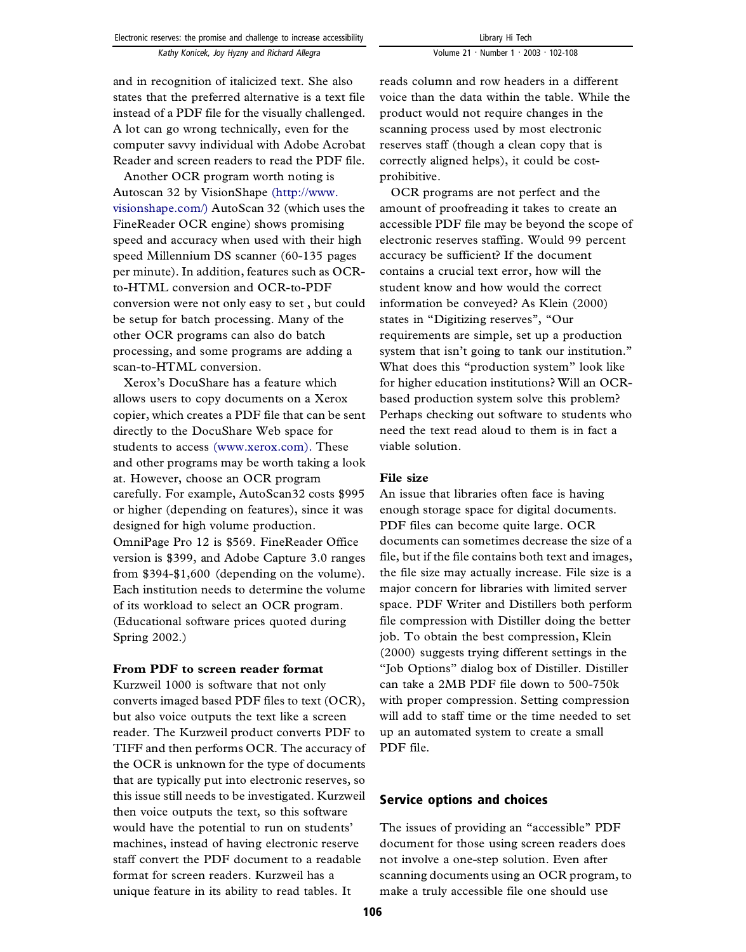and in recognition of italicized text. She also states that the preferred alternative is a text file instead of a PDF file for the visually challenged. A lot can go wrong technically, even for the computer savvy individual with Adobe Acrobat Reader and screen readers to read the PDF file.

Another OCR program worth noting is Autoscan 32 by VisionShape [\(http://www.](http://www.visionshape.com/) [visionshape.com/\)](http://www.visionshape.com/) AutoScan 32 (which uses the FineReader OCR engine) shows promising speed and accuracy when used with their high speed Millennium DS scanner (60-135 pages per minute). In addition, features such as OCRto-HTML conversion and OCR-to-PDF conversion were not only easy to set , but could be setup for batch processing. Many of the other OCR programs can also do batch processing, and some programs are adding a scan-to-HTML conversion.

Xerox's DocuShare has a feature which allows users to copy documents on a Xerox copier, which creates a PDF file that can be sent directly to the DocuShare Web space for students to access [\(www.xerox.com\).](http://www.xerox.com) These and other programs may be worth taking a look at. However, choose an OCR program carefully. For example, AutoScan32 costs \$995 or higher (depending on features), since it was designed for high volume production. OmniPage Pro 12 is \$569. FineReader Office version is \$399, and Adobe Capture 3.0 ranges from \$394-\$1,600 (depending on the volume). Each institution needs to determine the volume of its workload to select an OCR program. (Educational software prices quoted during Spring 2002.)

#### **From PDF to screen reader format**

Kurzweil 1000 is software that not only converts imaged based PDF files to text (OCR), but also voice outputs the text like a screen reader. The Kurzweil product converts PDF to TIFF and then performs OCR. The accuracy of the OCR is unknown for the type of documents that are typically put into electronic reserves, so this issue still needs to be investigated. Kurzweil then voice outputs the text, so this software would have the potential to run on students' machines, instead of having electronic reserve staff convert the PDF document to a readable format for screen readers. Kurzweil has a unique feature in its ability to read tables. It

reads column and row headers in a different voice than the data within the table. While the product would not require changes in the scanning process used by most electronic reserves staff (though a clean copy that is correctly aligned helps), it could be costprohibitive.

OCR programs are not perfect and the amount of proofreading it takes to create an accessible PDF file may be beyond the scope of electronic reserves staffing. Would 99 percent accuracy be sufficient? If the document contains a crucial text error, how will the student know and how would the correct information be conveyed? As Klein (2000) states in "Digitizing reserves", "Our requirements are simple, set up a production system that isn't going to tank our institution." What does this "production system" look like for higher education institutions? Will an OCRbased production system solve this problem? Perhaps checking out software to students who need the text read aloud to them is in fact a viable solution.

## **File size**

An issue that libraries often face is having enough storage space for digital documents. PDF files can become quite large. OCR documents can sometimes decrease the size of a file, but if the file contains both text and images, the file size may actually increase. File size is a major concern for libraries with limited server space. PDF Writer and Distillers both perform file compression with Distiller doing the better job. To obtain the best compression, Klein (2000) suggests trying different settings in the ''Job Options'' dialog box of Distiller. Distiller can take a 2MB PDF file down to 500-750k with proper compression. Setting compression will add to staff time or the time needed to set up an automated system to create a small PDF file.

# Service options and choices

The issues of providing an "accessible" PDF document for those using screen readers does not involve a one-step solution. Even after scanning documents using an OCR program, to make a truly accessible file one should use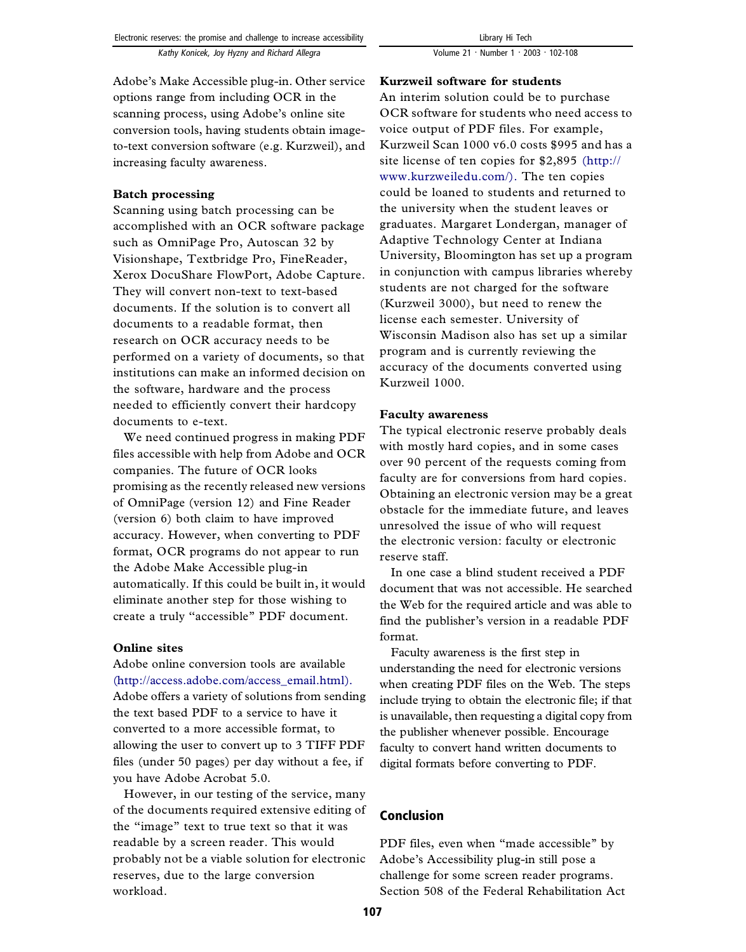Adobe's Make Accessible plug-in. Other service options range from including OCR in the scanning process, using Adobe's online site conversion tools, having students obtain imageto-text conversion software (e.g. Kurzweil), and increasing faculty awareness.

## **Batch processing**

Scanning using batch processing can be accomplished with an OCR software package such as OmniPage Pro, Autoscan 32 by Visionshape, Textbridge Pro, FineReader, Xerox DocuShare FlowPort, Adobe Capture. They will convert non-text to text-based documents. If the solution is to convert all documents to a readable format, then research on OCR accuracy needs to be performed on a variety of documents, so that institutions can make an informed decision on the software, hardware and the process needed to efficiently convert their hardcopy documents to e-text.

We need continued progress in making PDF files accessible with help from Adobe and OCR companies. The future of OCR looks promising as the recently released new versions of OmniPage (version 12) and Fine Reader (version 6) both claim to have improved accuracy. However, when converting to PDF format, OCR programs do not appear to run the Adobe Make Accessible plug-in automatically. If this could be built in, it would eliminate another step for those wishing to create a truly ''accessible'' PDF document.

#### **Online sites**

Adobe online conversion tools are available [\(http://access.adobe.com/access\\_email.html\).](http://access.adobe.com/access_email.html) Adobe offers a variety of solutions from sending the text based PDF to a service to have it converted to a more accessible format, to allowing the user to convert up to 3 TIFF PDF files (under 50 pages) per day without a fee, if you have Adobe Acrobat 5.0.

However, in our testing of the service, many of the documents required extensive editing of the ''image'' text to true text so that it was readable by a screen reader. This would probably not be a viable solution for electronic reserves, due to the large conversion workload.

## **Kurzweil software for students**

An interim solution could be to purchase OCR software for students who need access to voice output of PDF files. For example, Kurzweil Scan 1000 v6.0 costs \$995 and has a site license of ten copies for \$2,895 [\(http://](http://www.kurzweiledu.com/) [www.kurzweiledu.com/\).](http://www.kurzweiledu.com/) The ten copies could be loaned to students and returned to the university when the student leaves or graduates. Margaret Londergan, manager of Adaptive Technology Center at Indiana University, Bloomington has set up a program in conjunction with campus libraries whereby students are not charged for the software (Kurzweil 3000), but need to renew the license each semester. University of Wisconsin Madison also has set up a similar program and is currently reviewing the accuracy of the documents converted using Kurzweil 1000.

## **Faculty awareness**

The typical electronic reserve probably deals with mostly hard copies, and in some cases over 90 percent of the requests coming from faculty are for conversions from hard copies. Obtaining an electronic version may be a great obstacle for the immediate future, and leaves unresolved the issue of who will request the electronic version: faculty or electronic reserve staff.

In one case a blind student received a PDF document that was not accessible. He searched the Web for the required article and was able to find the publisher's version in a readable PDF format.

Faculty awareness is the first step in understanding the need for electronic versions when creating PDF files on the Web. The steps include trying to obtain the electronic file; if that is unavailable, then requesting a digital copy from the publisher whenever possible. Encourage faculty to convert hand written documents to digital formats before converting to PDF.

# Conclusion

PDF files, even when "made accessible" by Adobe's Accessibility plug-in still pose a challenge for some screen reader programs. Section 508 of the Federal Rehabilitation Act